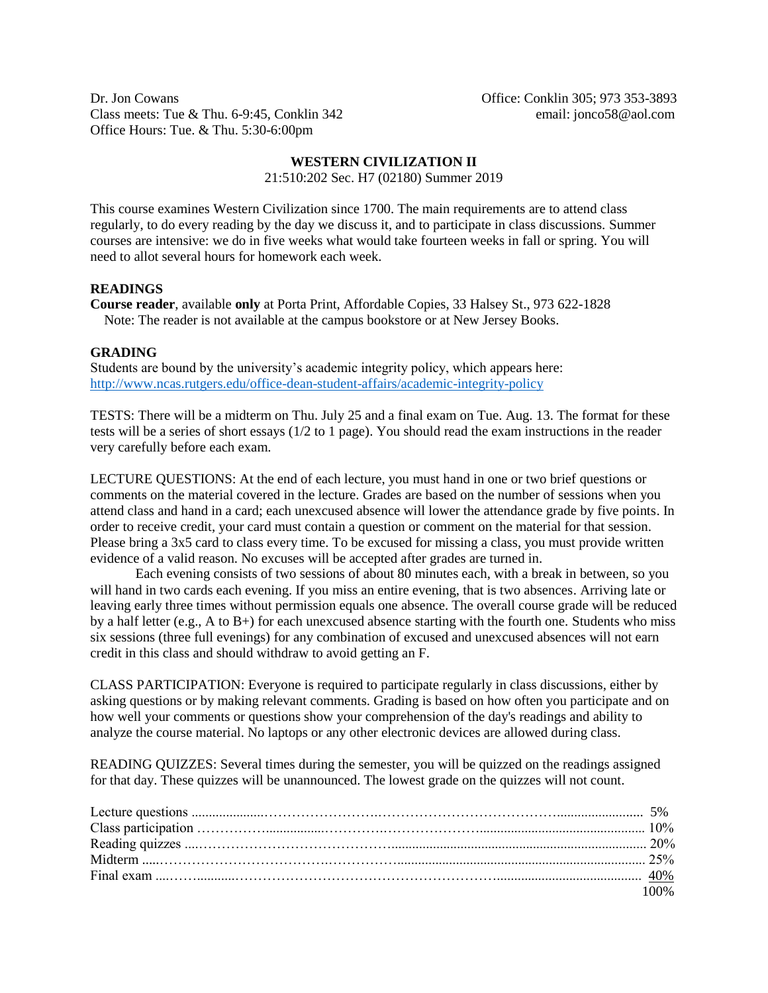Dr. Jon Cowans **Office: Conklin 305**; 973 353-3893 Class meets: Tue & Thu. 6-9:45, Conklin 342 email: jonco58@aol.com Office Hours: Tue. & Thu. 5:30-6:00pm

## **WESTERN CIVILIZATION II**

21:510:202 Sec. H7 (02180) Summer 2019

This course examines Western Civilization since 1700. The main requirements are to attend class regularly, to do every reading by the day we discuss it, and to participate in class discussions. Summer courses are intensive: we do in five weeks what would take fourteen weeks in fall or spring. You will need to allot several hours for homework each week.

## **READINGS**

**Course reader**, available **only** at Porta Print, Affordable Copies, 33 Halsey St., 973 622-1828 Note: The reader is not available at the campus bookstore or at New Jersey Books.

### **GRADING**

Students are bound by the university's academic integrity policy, which appears here: <http://www.ncas.rutgers.edu/office-dean-student-affairs/academic-integrity-policy>

TESTS: There will be a midterm on Thu. July 25 and a final exam on Tue. Aug. 13. The format for these tests will be a series of short essays (1/2 to 1 page). You should read the exam instructions in the reader very carefully before each exam.

LECTURE QUESTIONS: At the end of each lecture, you must hand in one or two brief questions or comments on the material covered in the lecture. Grades are based on the number of sessions when you attend class and hand in a card; each unexcused absence will lower the attendance grade by five points. In order to receive credit, your card must contain a question or comment on the material for that session. Please bring a 3x5 card to class every time. To be excused for missing a class, you must provide written evidence of a valid reason. No excuses will be accepted after grades are turned in.

Each evening consists of two sessions of about 80 minutes each, with a break in between, so you will hand in two cards each evening. If you miss an entire evening, that is two absences. Arriving late or leaving early three times without permission equals one absence. The overall course grade will be reduced by a half letter (e.g., A to B+) for each unexcused absence starting with the fourth one. Students who miss six sessions (three full evenings) for any combination of excused and unexcused absences will not earn credit in this class and should withdraw to avoid getting an F.

CLASS PARTICIPATION: Everyone is required to participate regularly in class discussions, either by asking questions or by making relevant comments. Grading is based on how often you participate and on how well your comments or questions show your comprehension of the day's readings and ability to analyze the course material. No laptops or any other electronic devices are allowed during class.

READING QUIZZES: Several times during the semester, you will be quizzed on the readings assigned for that day. These quizzes will be unannounced. The lowest grade on the quizzes will not count.

|  | 100% |
|--|------|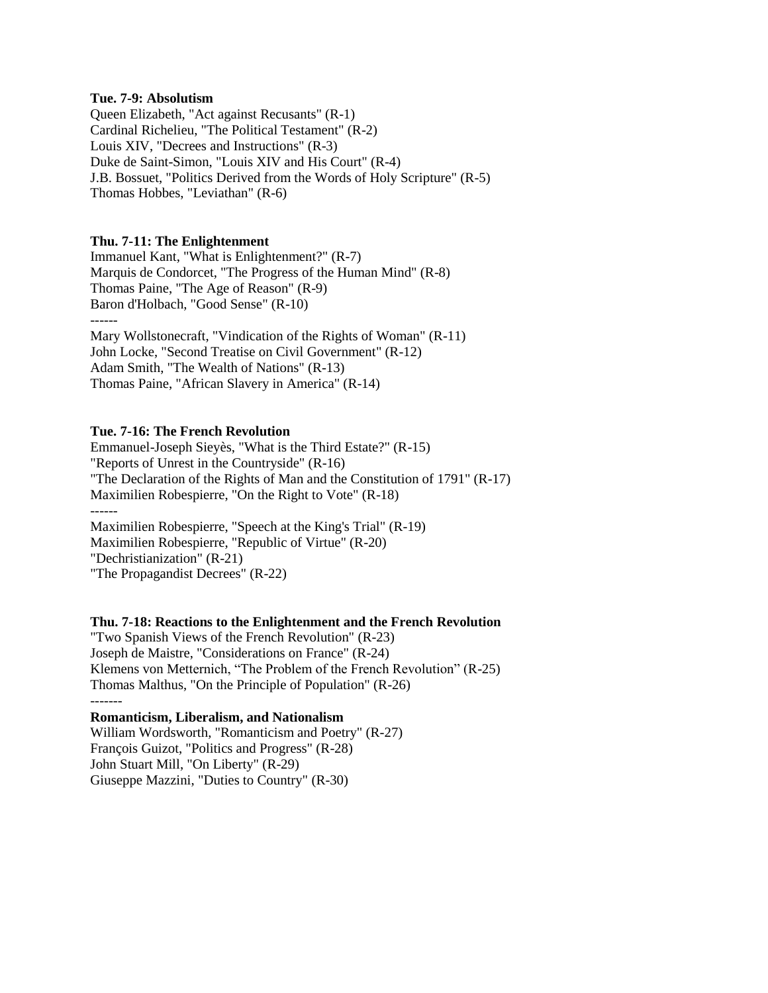### **Tue. 7-9: Absolutism**

Queen Elizabeth, "Act against Recusants" (R-1) Cardinal Richelieu, "The Political Testament" (R-2) Louis XIV, "Decrees and Instructions" (R-3) Duke de Saint-Simon, "Louis XIV and His Court" (R-4) J.B. Bossuet, "Politics Derived from the Words of Holy Scripture" (R-5) Thomas Hobbes, "Leviathan" (R-6)

### **Thu. 7-11: The Enlightenment**

Immanuel Kant, "What is Enlightenment?" (R-7) Marquis de Condorcet, "The Progress of the Human Mind" (R-8) Thomas Paine, "The Age of Reason" (R-9) Baron d'Holbach, "Good Sense" (R-10) ------ Mary Wollstonecraft, "Vindication of the Rights of Woman" (R-11) John Locke, "Second Treatise on Civil Government" (R-12) Adam Smith, "The Wealth of Nations" (R-13)

Thomas Paine, "African Slavery in America" (R-14)

### **Tue. 7-16: The French Revolution**

Emmanuel-Joseph Sieyès, "What is the Third Estate?" (R-15) "Reports of Unrest in the Countryside" (R-16) "The Declaration of the Rights of Man and the Constitution of 1791" (R-17) Maximilien Robespierre, "On the Right to Vote" (R-18) ------ Maximilien Robespierre, "Speech at the King's Trial" (R-19) Maximilien Robespierre, "Republic of Virtue" (R-20) "Dechristianization" (R-21)

"The Propagandist Decrees" (R-22)

### **Thu. 7-18: Reactions to the Enlightenment and the French Revolution**

"Two Spanish Views of the French Revolution" (R-23) Joseph de Maistre, "Considerations on France" (R-24) Klemens von Metternich, "The Problem of the French Revolution" (R-25) Thomas Malthus, "On the Principle of Population" (R-26) -------

## **Romanticism, Liberalism, and Nationalism**

William Wordsworth, "Romanticism and Poetry" (R-27) François Guizot, "Politics and Progress" (R-28) John Stuart Mill, "On Liberty" (R-29) Giuseppe Mazzini, "Duties to Country" (R-30)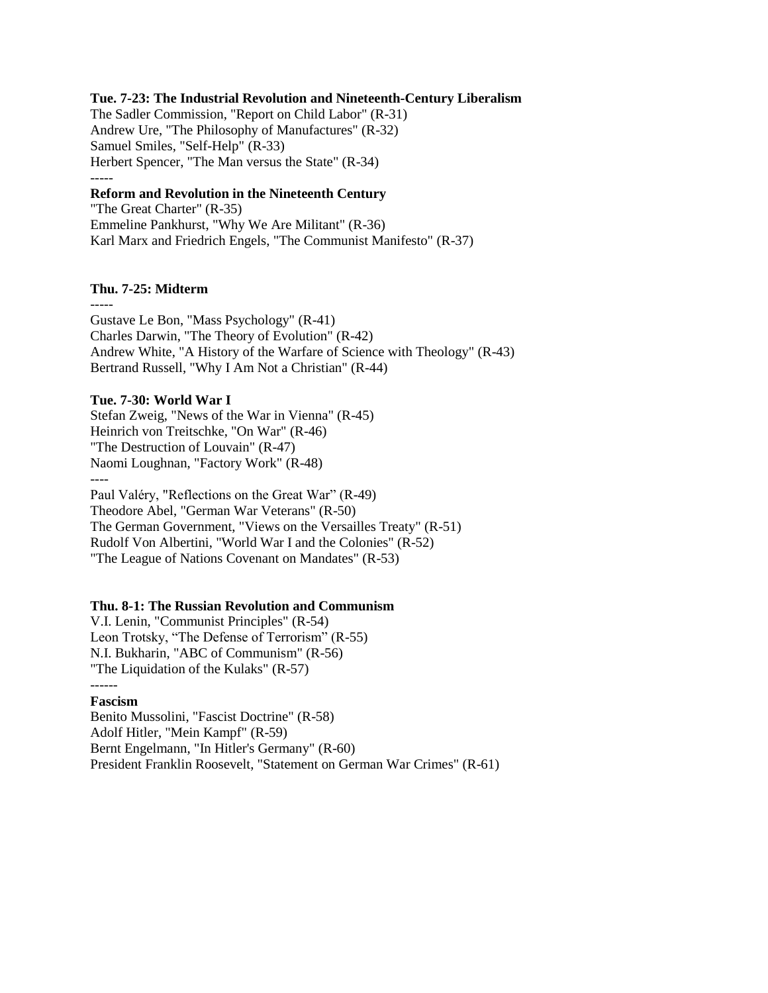### **Tue. 7-23: The Industrial Revolution and Nineteenth-Century Liberalism**

The Sadler Commission, "Report on Child Labor" (R-31) Andrew Ure, "The Philosophy of Manufactures" (R-32) Samuel Smiles, "Self-Help" (R-33) Herbert Spencer, "The Man versus the State" (R-34) -----

# **Reform and Revolution in the Nineteenth Century**

"The Great Charter" (R-35) Emmeline Pankhurst, "Why We Are Militant" (R-36) Karl Marx and Friedrich Engels, "The Communist Manifesto" (R-37)

### **Thu. 7-25: Midterm**

----- Gustave Le Bon, "Mass Psychology" (R-41) Charles Darwin, "The Theory of Evolution" (R-42) Andrew White, "A History of the Warfare of Science with Theology" (R-43) Bertrand Russell, "Why I Am Not a Christian" (R-44)

## **Tue. 7-30: World War I**

Stefan Zweig, "News of the War in Vienna" (R-45) Heinrich von Treitschke, "On War" (R-46) "The Destruction of Louvain" (R-47) Naomi Loughnan, "Factory Work" (R-48) ---- Paul Valéry, "Reflections on the Great War" (R-49) Theodore Abel, "German War Veterans" (R-50) The German Government, "Views on the Versailles Treaty" (R-51) Rudolf Von Albertini, "World War I and the Colonies" (R-52)

"The League of Nations Covenant on Mandates" (R-53)

### **Thu. 8-1: The Russian Revolution and Communism**

V.I. Lenin, "Communist Principles" (R-54) Leon Trotsky, "The Defense of Terrorism" (R-55) N.I. Bukharin, "ABC of Communism" (R-56) "The Liquidation of the Kulaks" (R-57) ------

# **Fascism**

Benito Mussolini, "Fascist Doctrine" (R-58) Adolf Hitler, "Mein Kampf" (R-59) Bernt Engelmann, "In Hitler's Germany" (R-60) President Franklin Roosevelt, "Statement on German War Crimes" (R-61)